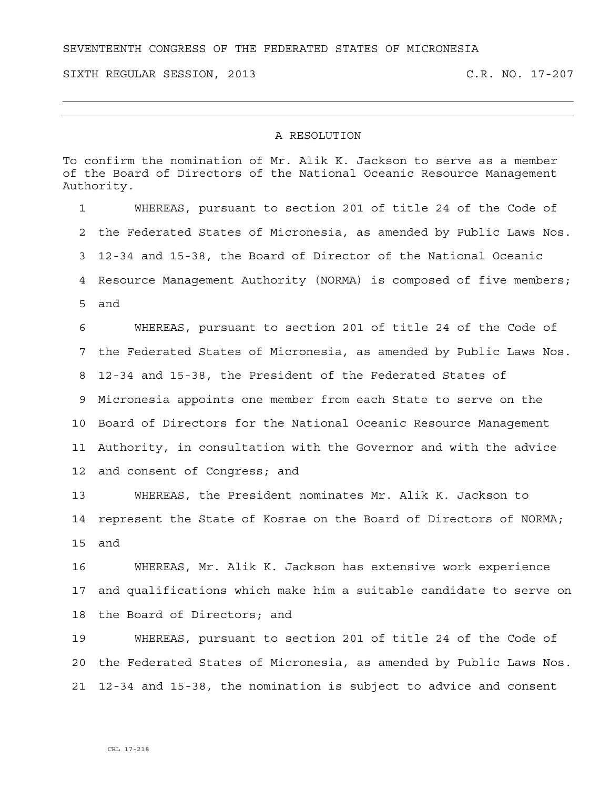SEVENTEENTH CONGRESS OF THE FEDERATED STATES OF MICRONESIA

SIXTH REGULAR SESSION, 2013 C.R. NO. 17-207

## A RESOLUTION

To confirm the nomination of Mr. Alik K. Jackson to serve as a member of the Board of Directors of the National Oceanic Resource Management Authority.

1 WHEREAS, pursuant to section 201 of title 24 of the Code of 2 the Federated States of Micronesia, as amended by Public Laws Nos. 3 12-34 and 15-38, the Board of Director of the National Oceanic 4 Resource Management Authority (NORMA) is composed of five members; 5 and 6 WHEREAS, pursuant to section 201 of title 24 of the Code of 7 the Federated States of Micronesia, as amended by Public Laws Nos. 8 12-34 and 15-38, the President of the Federated States of 9 Micronesia appoints one member from each State to serve on the 10 Board of Directors for the National Oceanic Resource Management 11 Authority, in consultation with the Governor and with the advice

12 and consent of Congress; and

13 WHEREAS, the President nominates Mr. Alik K. Jackson to 14 represent the State of Kosrae on the Board of Directors of NORMA; 15 and

16 WHEREAS, Mr. Alik K. Jackson has extensive work experience 17 and qualifications which make him a suitable candidate to serve on 18 the Board of Directors; and

19 WHEREAS, pursuant to section 201 of title 24 of the Code of 20 the Federated States of Micronesia, as amended by Public Laws Nos. 21 12-34 and 15-38, the nomination is subject to advice and consent